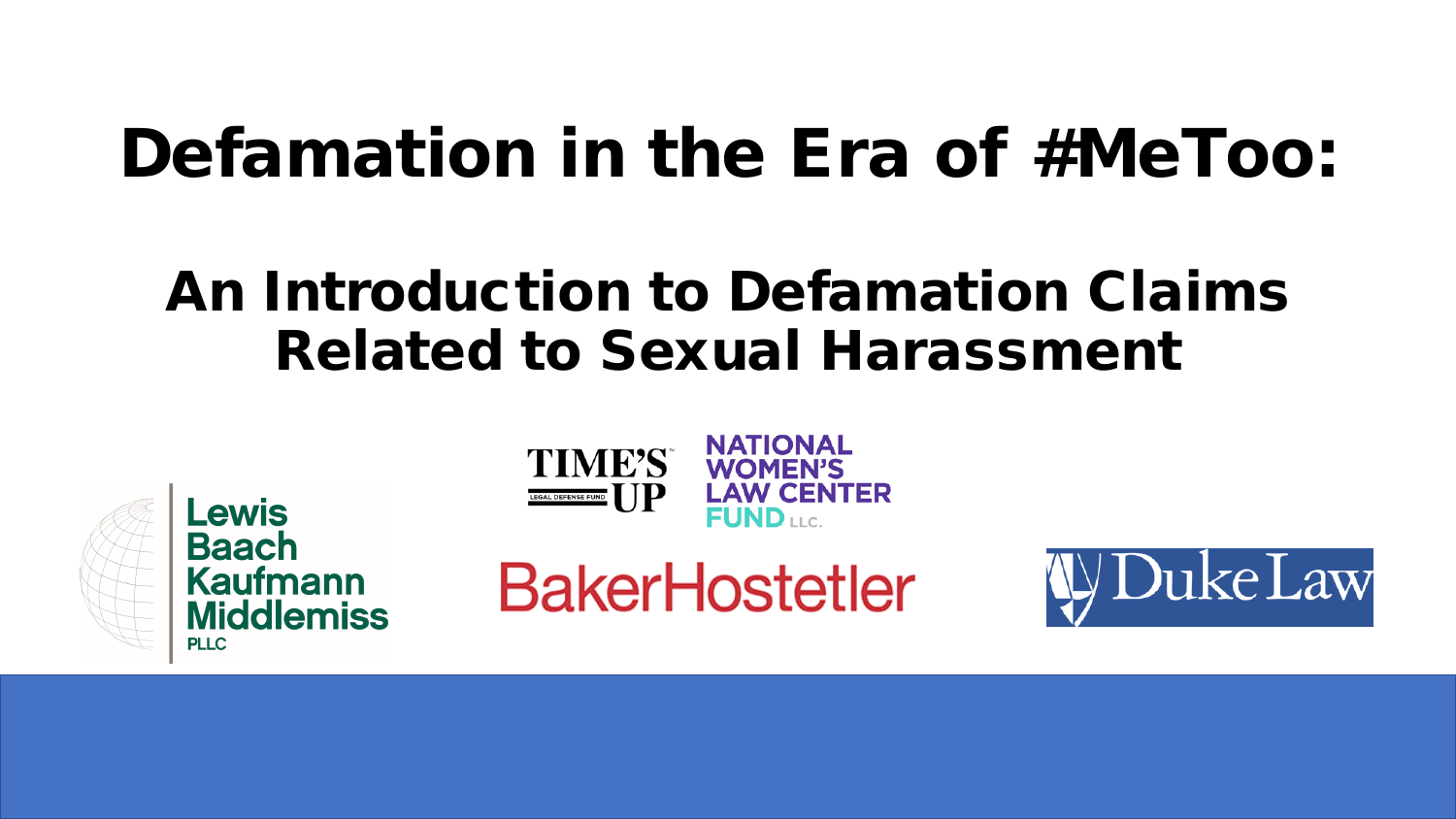# Defamation in the Era of #MeToo:

## An Introduction to Defamation Claims Related to Sexual Harassment





**BakerHostetler** 

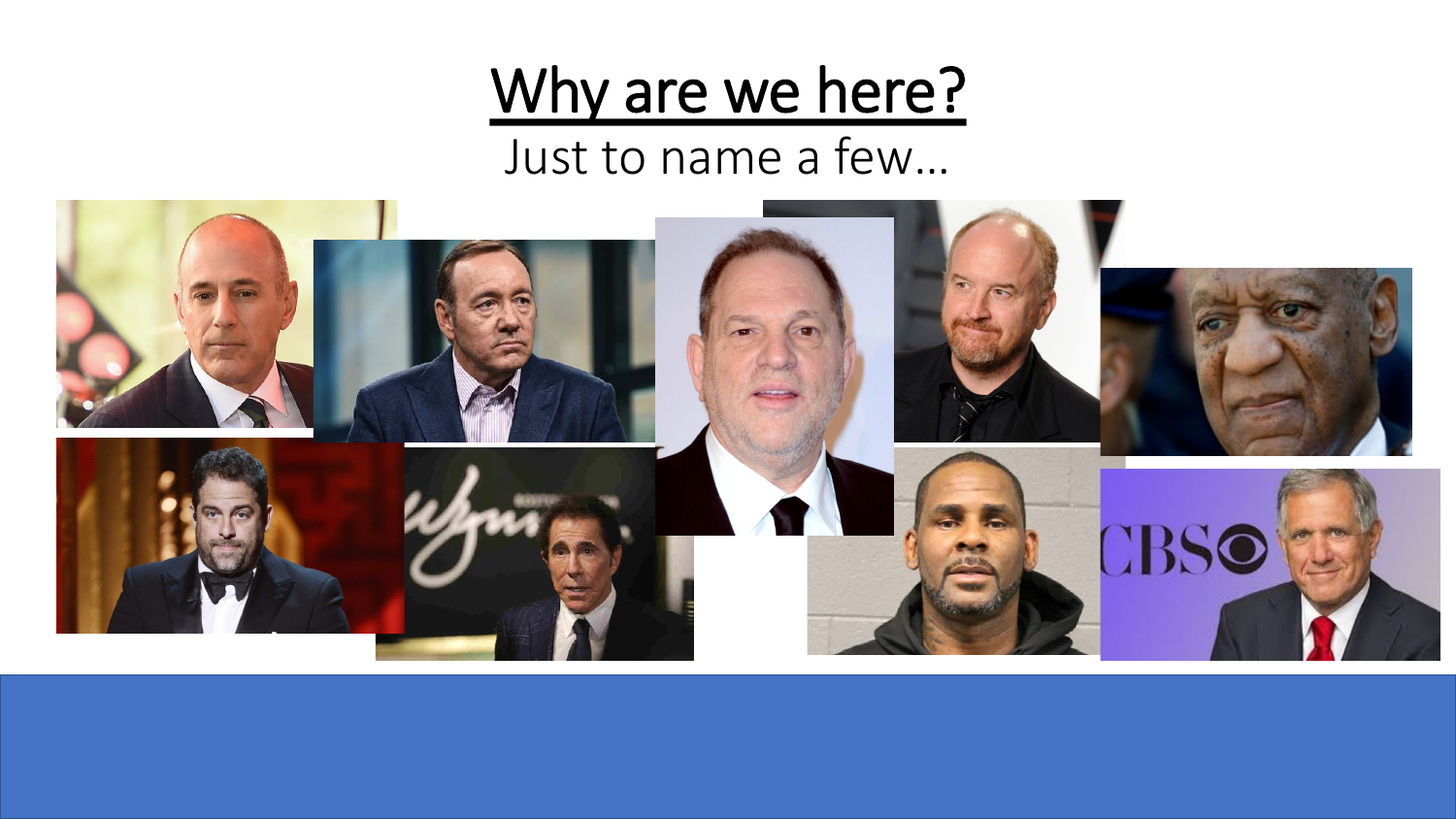## Why are we here?

Just to name a few…

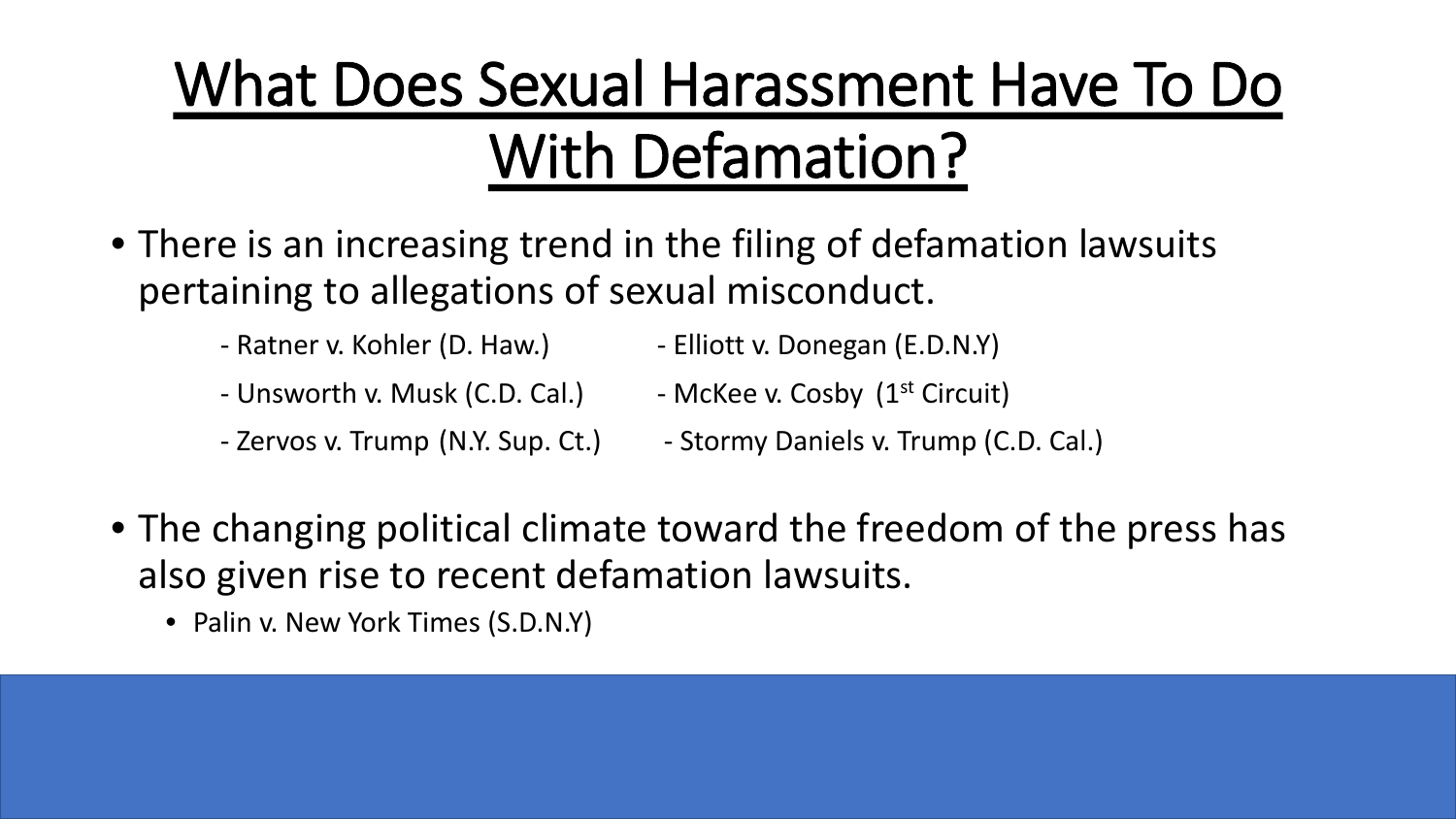# What Does Sexual Harassment Have To Do With Defamation?

- There is an increasing trend in the filing of defamation lawsuits pertaining to allegations of sexual misconduct.
	- Ratner v. Kohler (D. Haw.) Elliott v. Donegan (E.D.N.Y)
	- Unsworth v. Musk (C.D. Cal.) McKee v. Cosby  $(1^{st}$  Circuit)
	- Zervos v. Trump (N.Y. Sup. Ct.) Stormy Daniels v. Trump (C.D. Cal.)
- 
- The changing political climate toward the freedom of the press has also given rise to recent defamation lawsuits.
	- Palin v. New York Times (S.D.N.Y)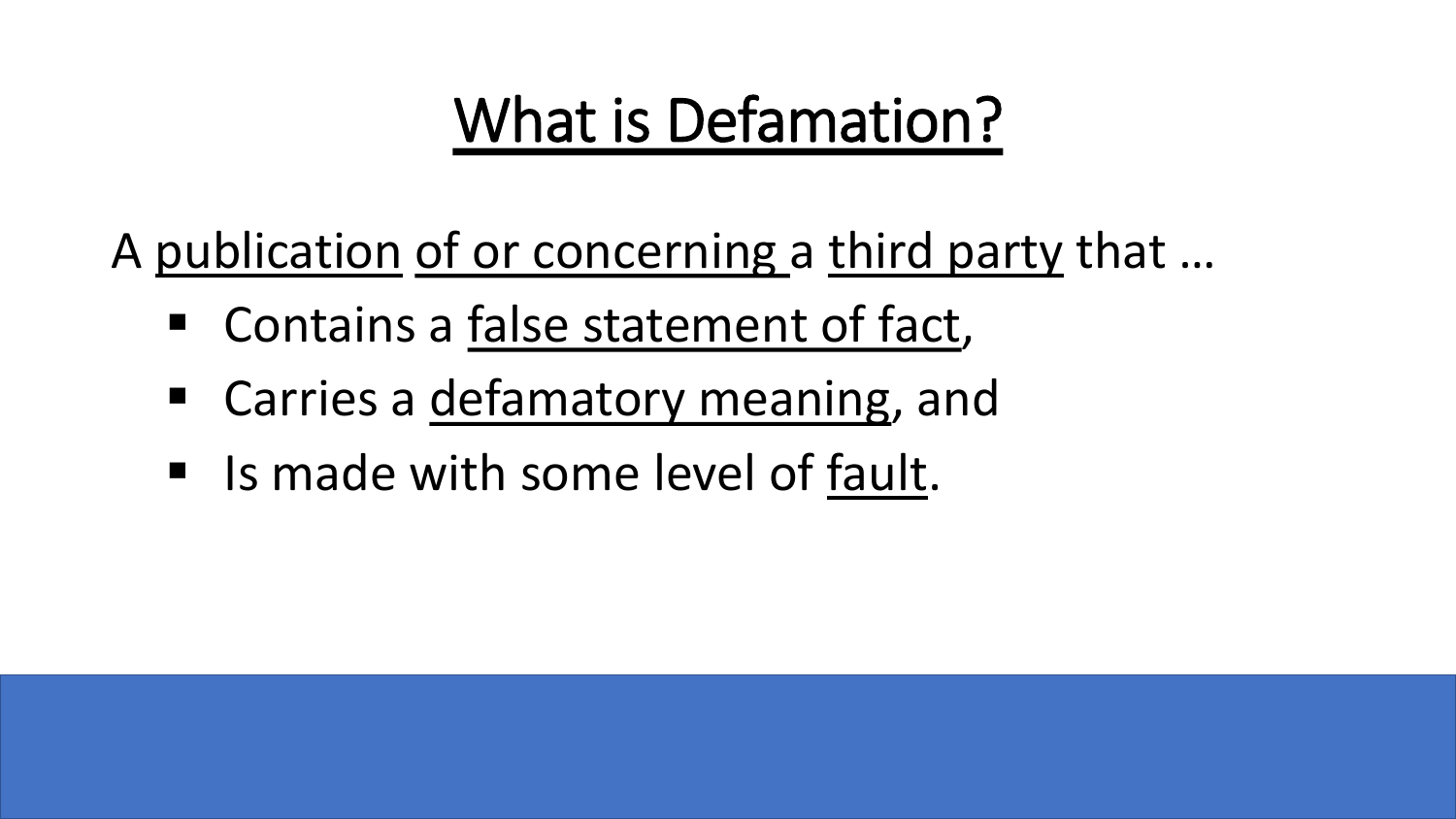# What is Defamation?

A publication of or concerning a third party that …

- Contains a false statement of fact,
- **EXTE:** Carries a defamatory meaning, and
- I Is made with some level of fault.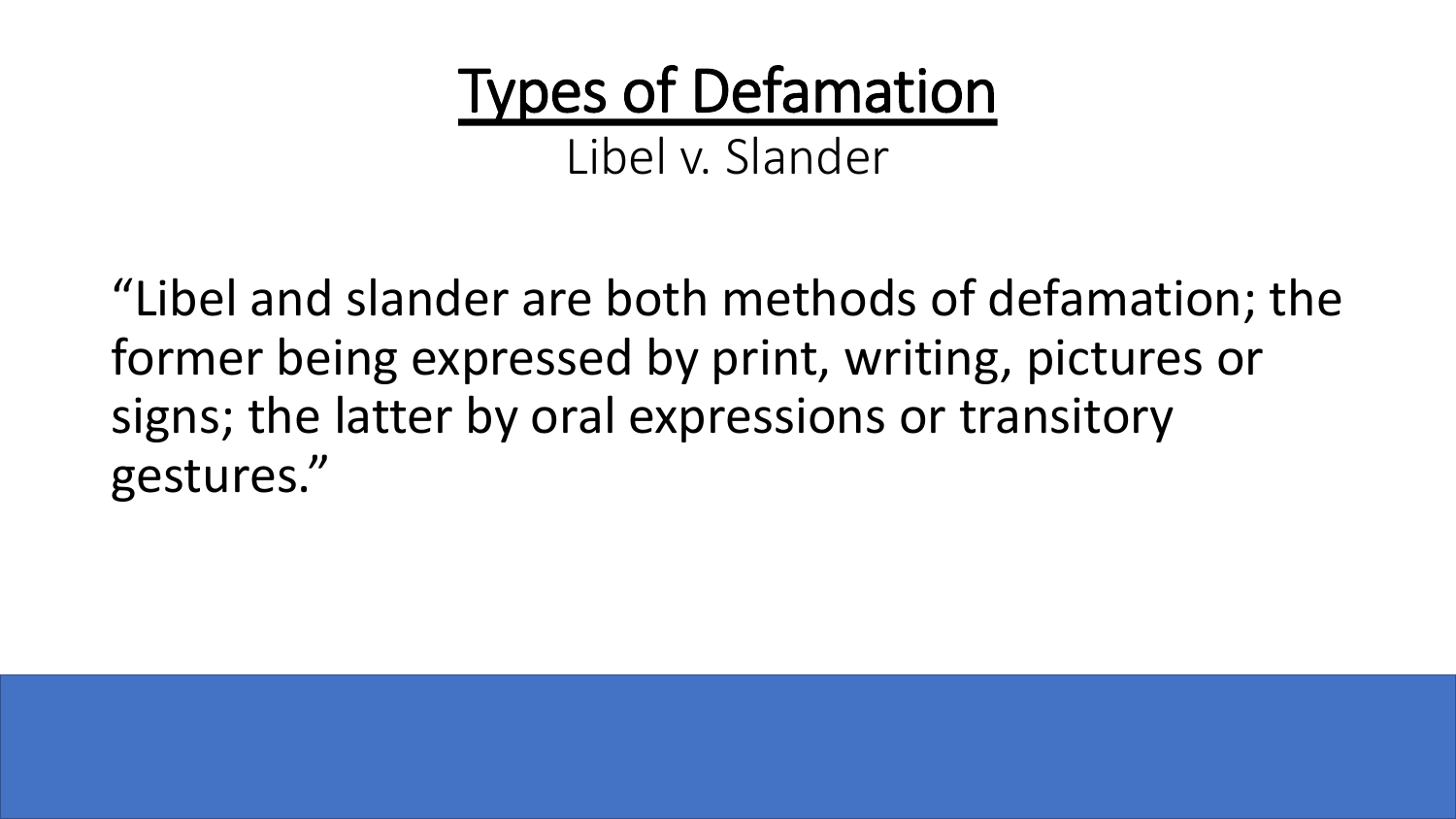Types of Defamation Libel v. Slander

"Libel and slander are both methods of defamation; the former being expressed by print, writing, pictures or signs; the latter by oral expressions or transitory gestures."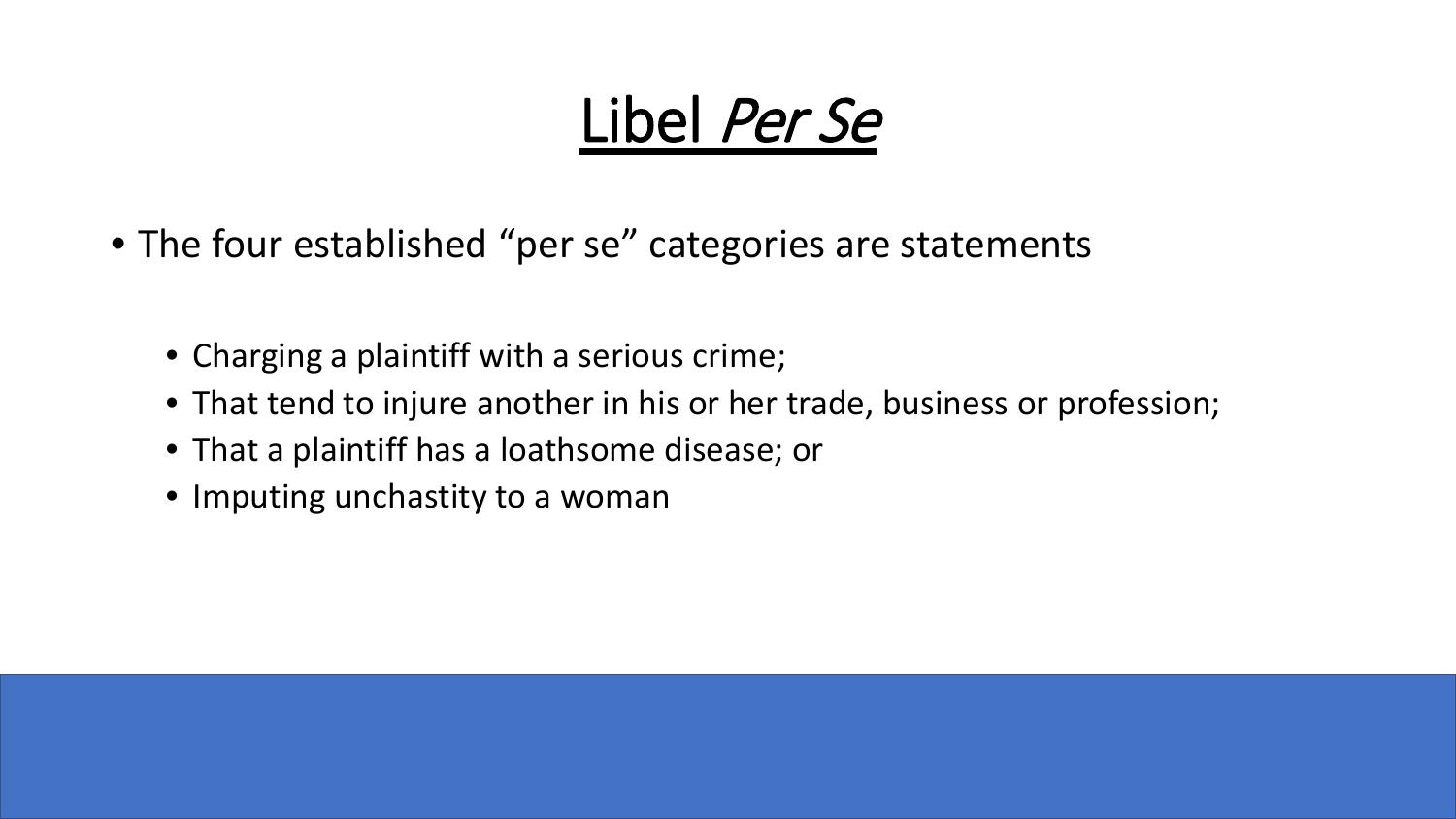# Libel Per Se

- The four established "per se" categories are statements
	- Charging a plaintiff with a serious crime;
	- That tend to injure another in his or her trade, business or profession;
	- That a plaintiff has a loathsome disease; or
	- Imputing unchastity to a woman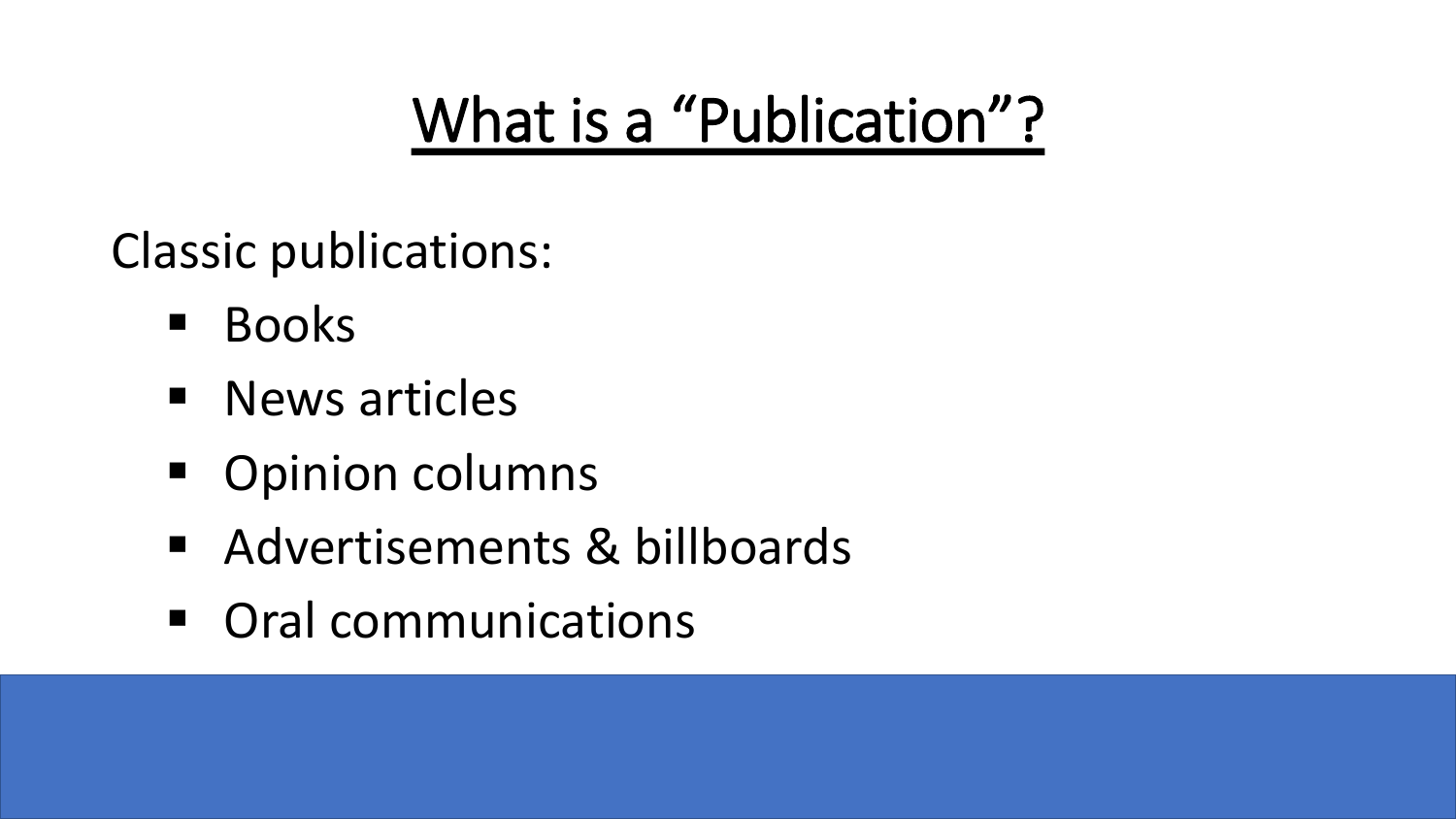# What is a "Publication"?

Classic publications:

- **Books**
- **News articles**
- Opinion columns
- Advertisements & billboards
- **Oral communications**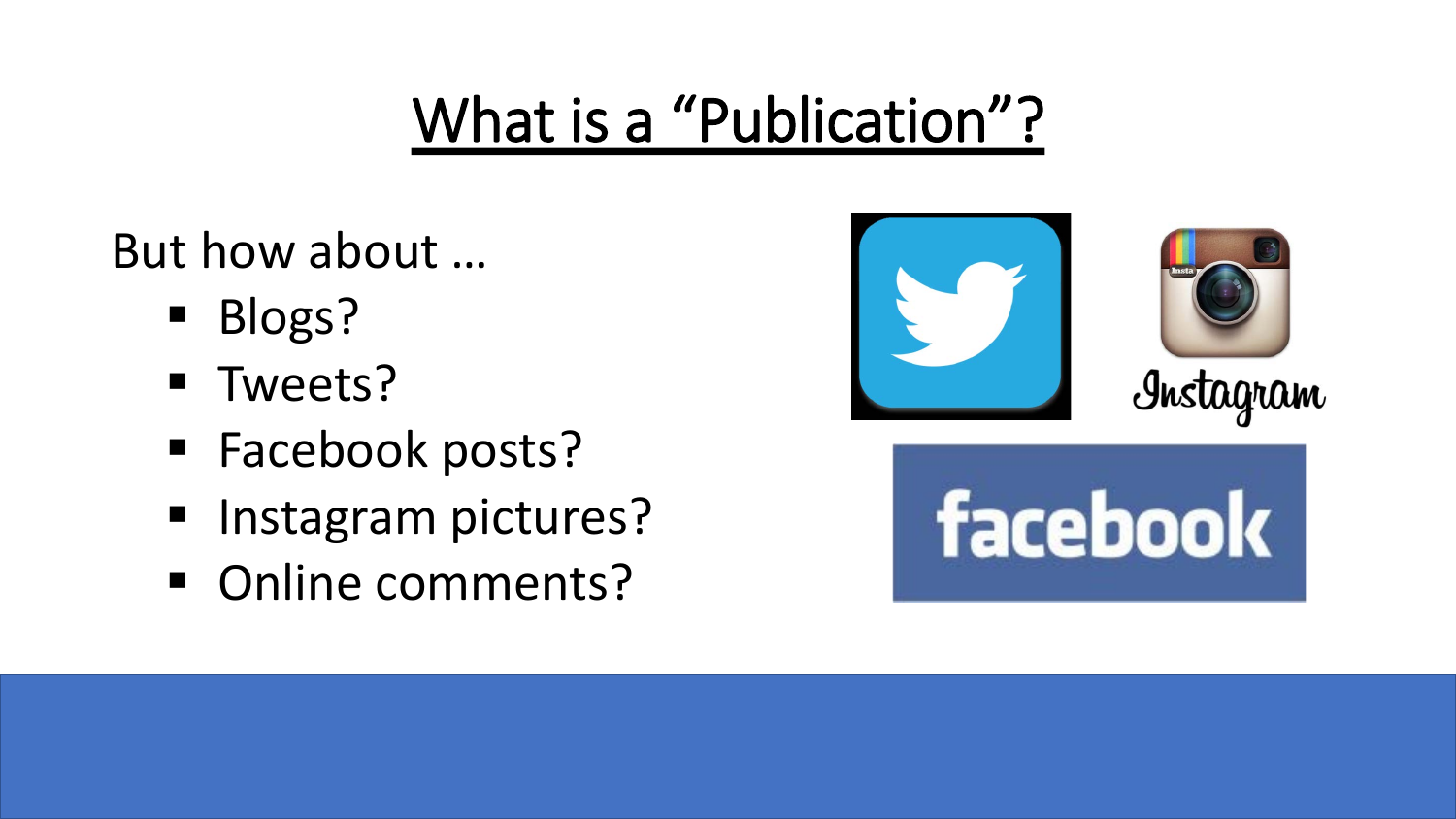# What is a "Publication"?

But how about …

- **Blogs?**
- **Tweets?**
- **Facebook posts?**
- **Instagram pictures?**
- Online comments?



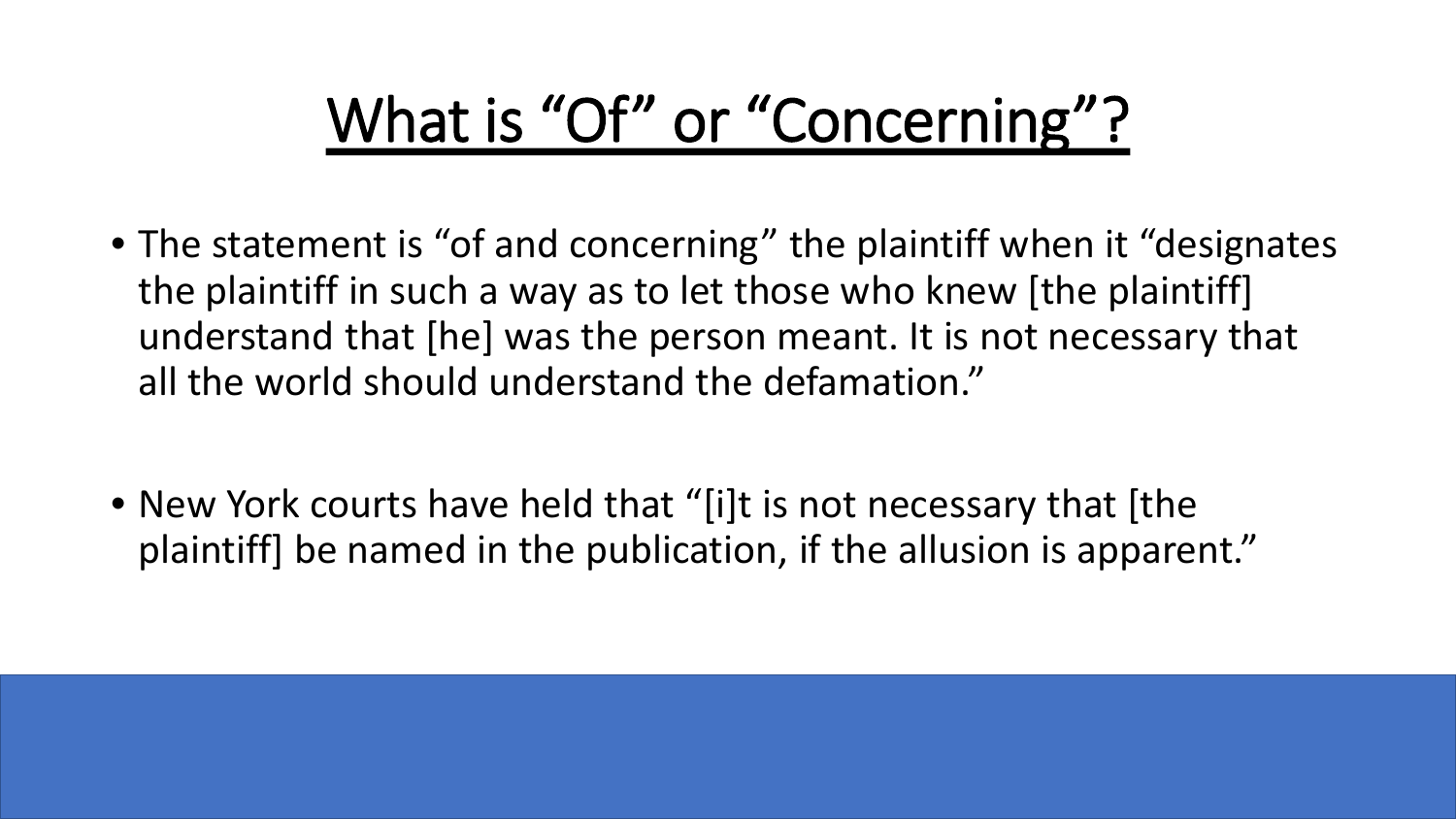# What is "Of" or "Concerning"?

- The statement is "of and concerning" the plaintiff when it "designates" the plaintiff in such a way as to let those who knew [the plaintiff] understand that [he] was the person meant. It is not necessary that all the world should understand the defamation."
- New York courts have held that "[i]t is not necessary that [the plaintiff] be named in the publication, if the allusion is apparent."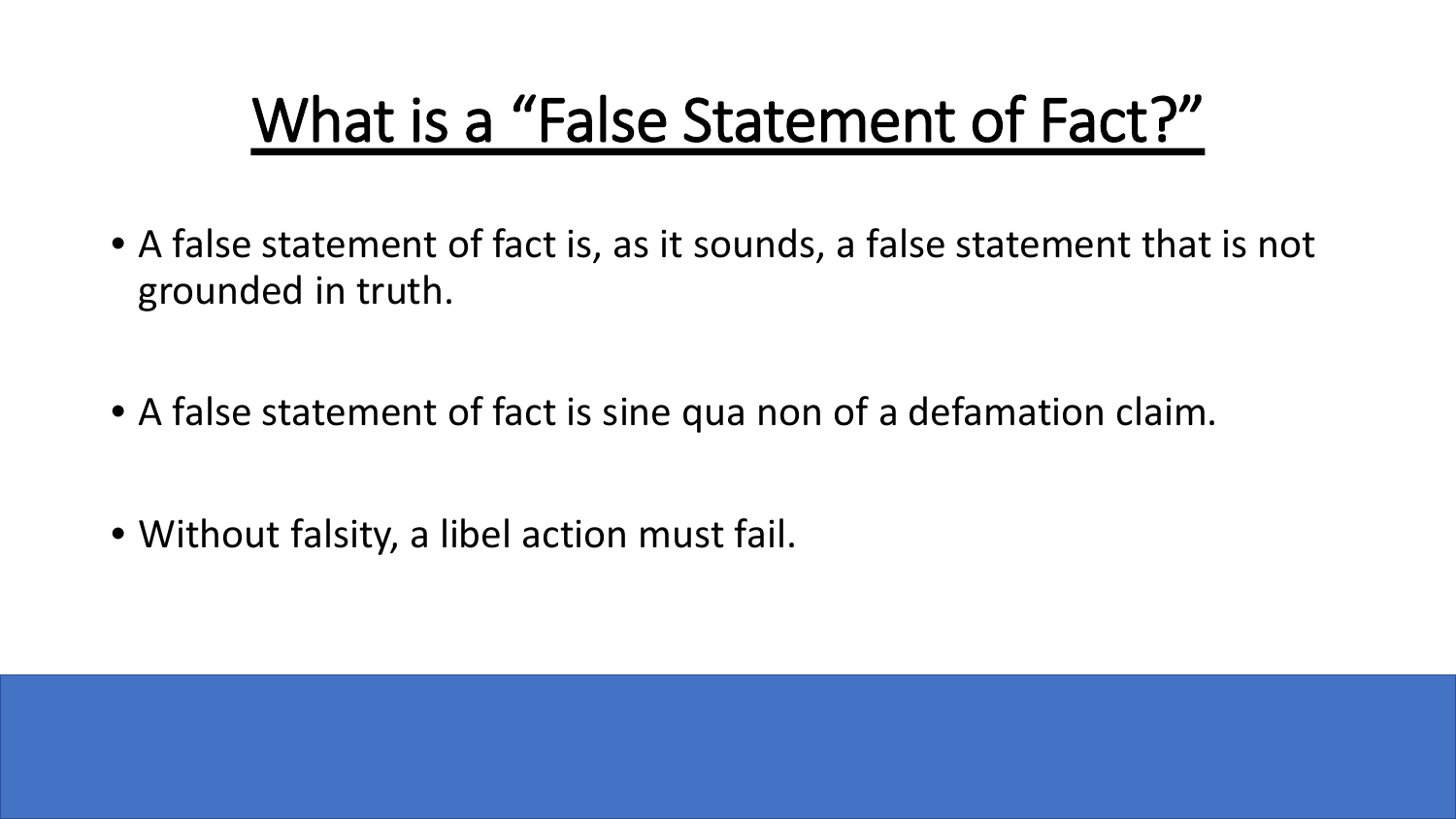# What is a "False Statement of Fact?"

- A false statement of fact is, as it sounds, a false statement that is not grounded in truth.
- A false statement of fact is sine qua non of a defamation claim.
- Without falsity, a libel action must fail.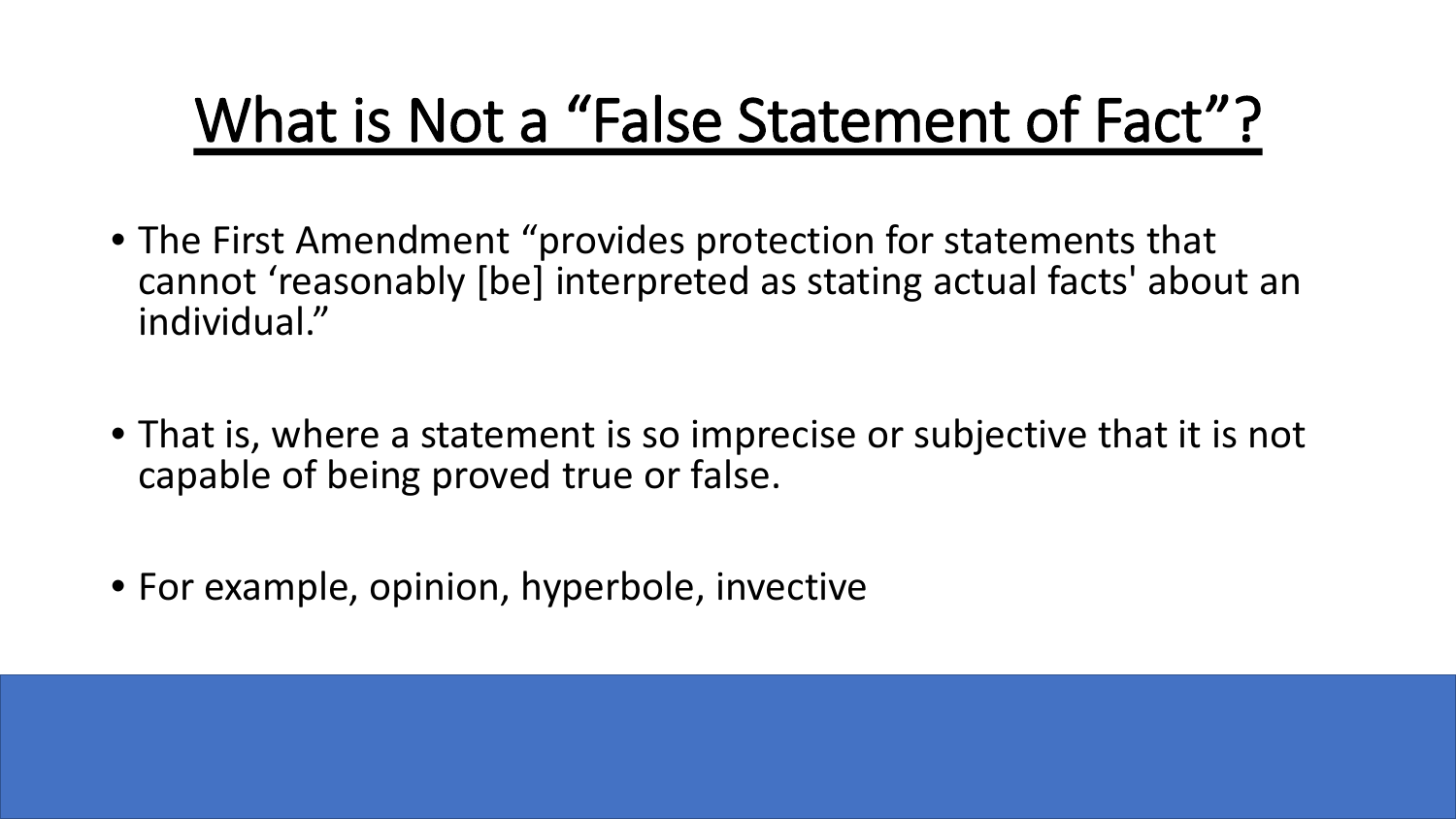# What is Not a "False Statement of Fact"?

- The First Amendment "provides protection for statements that cannot 'reasonably [be] interpreted as stating actual facts' about an individual."
- That is, where a statement is so imprecise or subjective that it is not capable of being proved true or false.
- For example, opinion, hyperbole, invective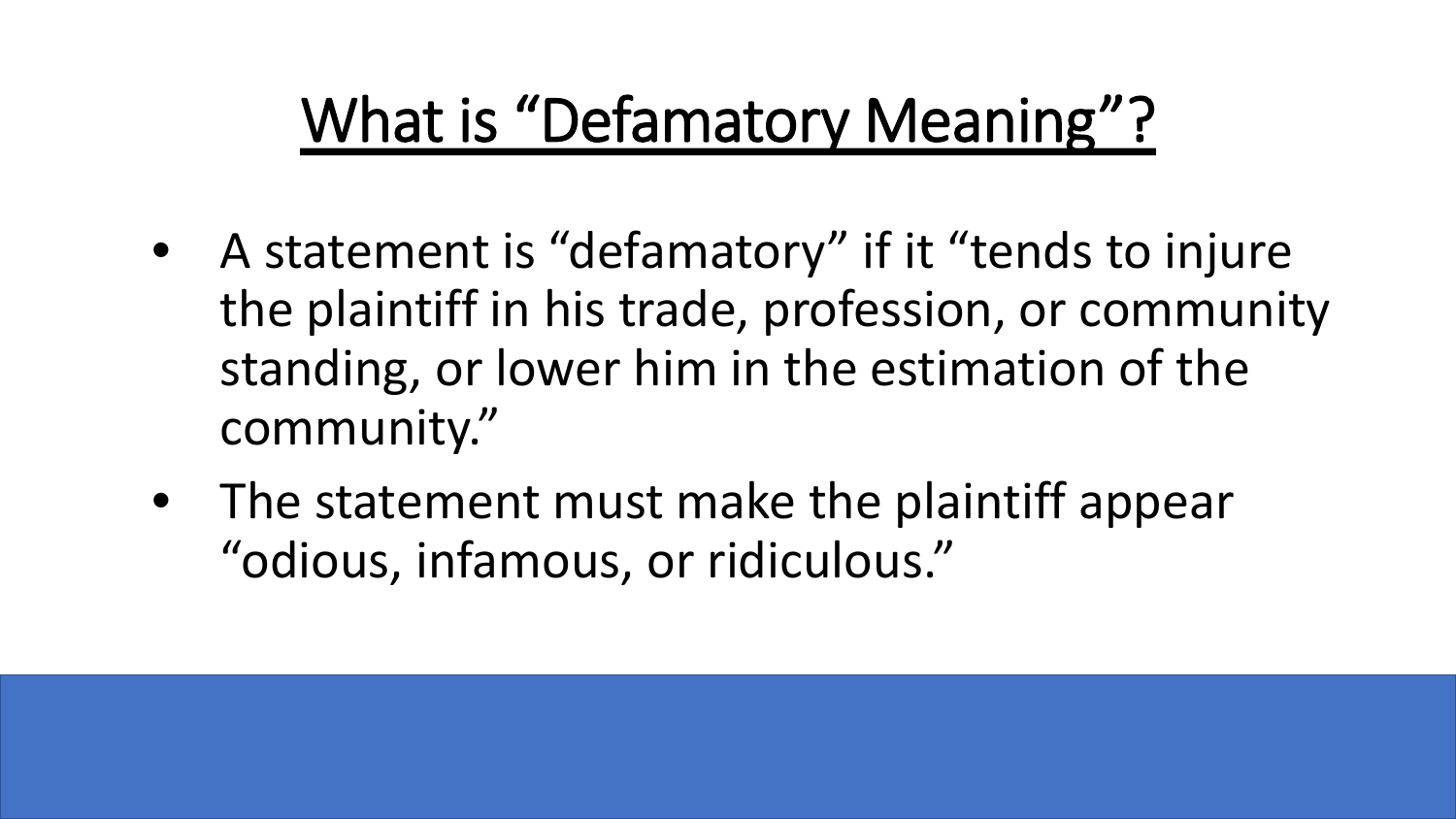# What is "Defamatory Meaning"?

- A statement is "defamatory" if it "tends to injure the plaintiff in his trade, profession, or community standing, or lower him in the estimation of the community."
- The statement must make the plaintiff appear "odious, infamous, or ridiculous."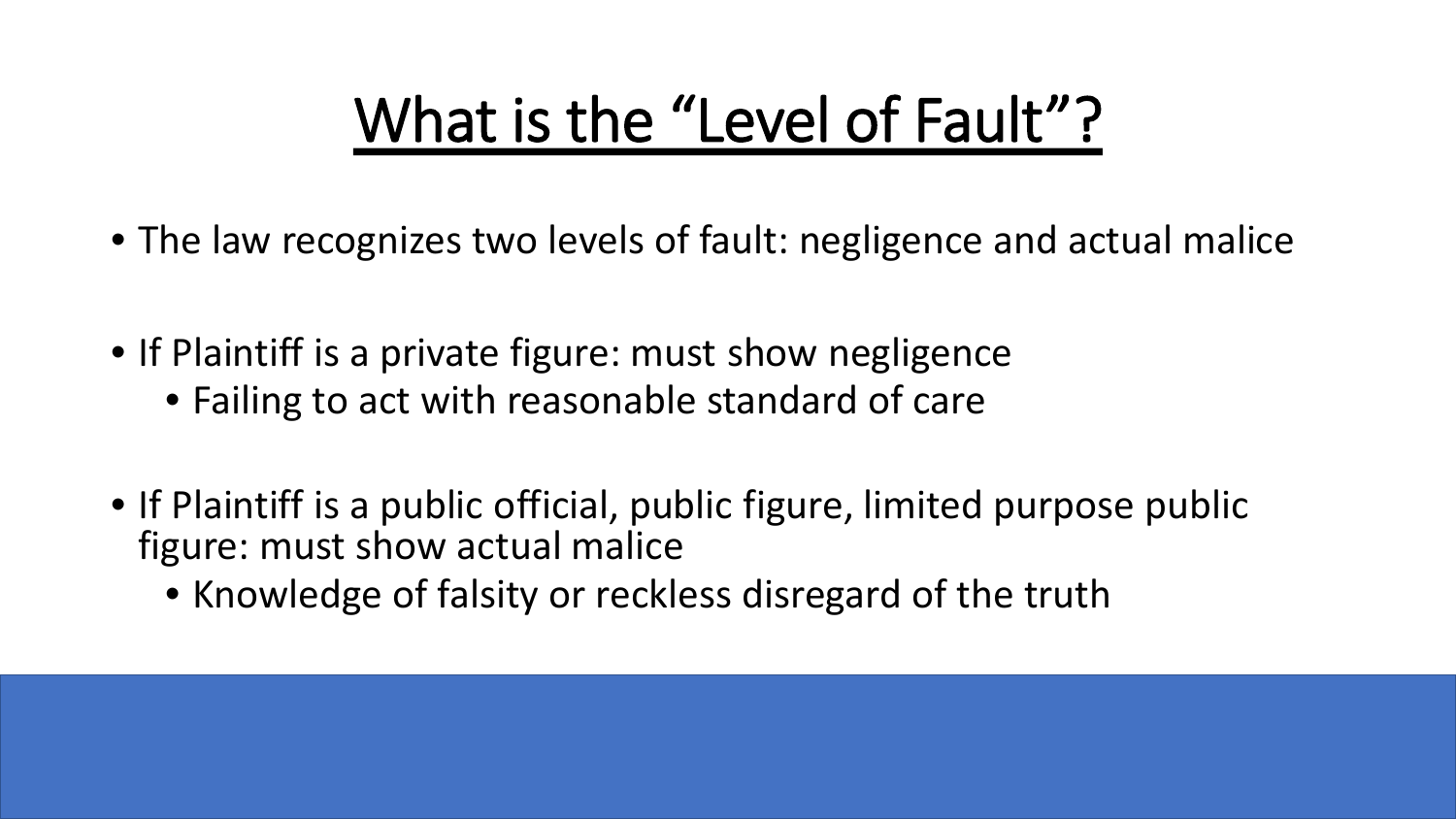# What is the "Level of Fault"?

- The law recognizes two levels of fault: negligence and actual malice
- If Plaintiff is a private figure: must show negligence
	- Failing to act with reasonable standard of care
- If Plaintiff is a public official, public figure, limited purpose public figure: must show actual malice
	- Knowledge of falsity or reckless disregard of the truth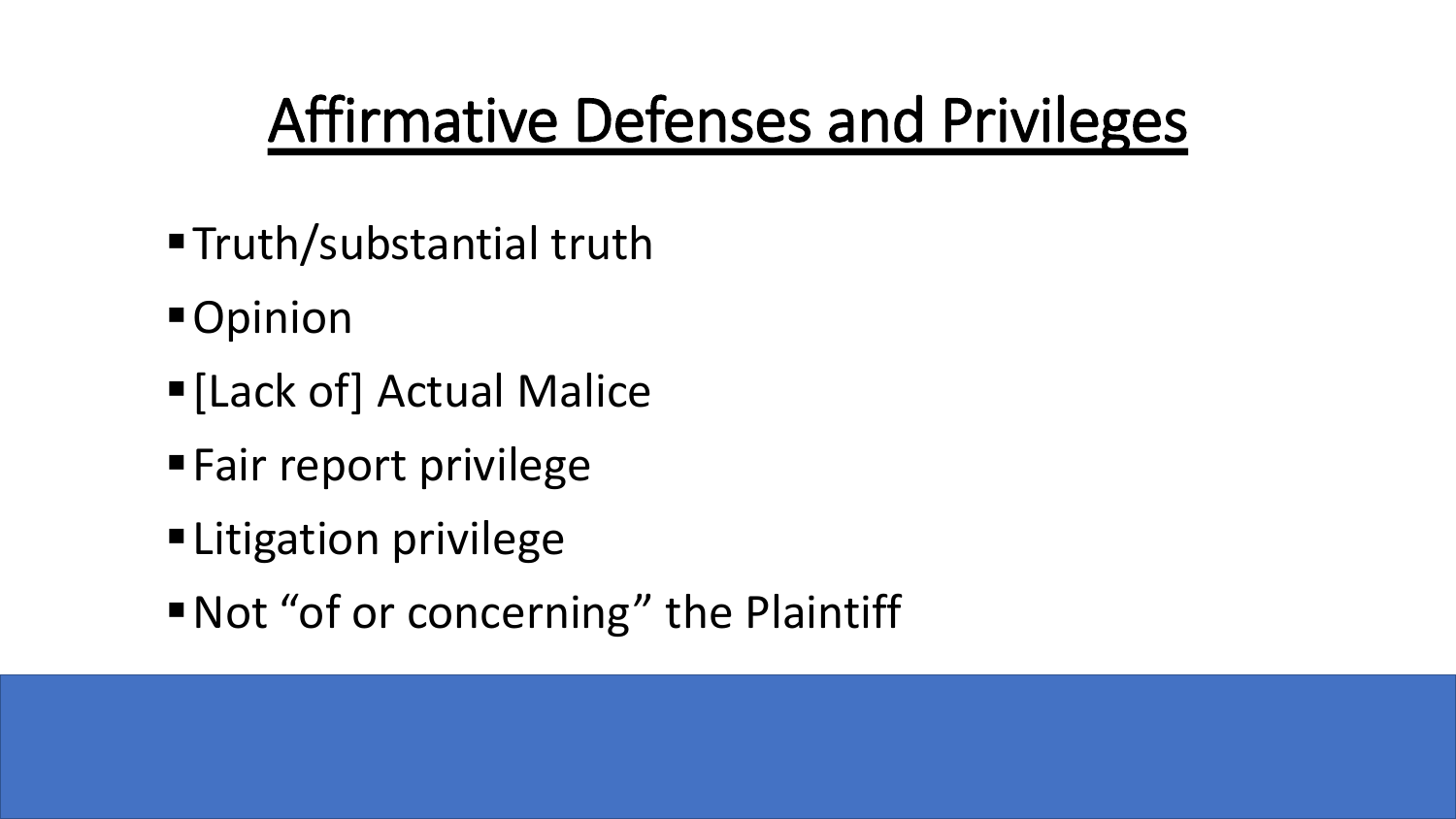# Affirmative Defenses and Privileges

- ■Truth/substantial truth
- Opinion
- [Lack of] Actual Malice
- **Fair report privilege**
- **Elitigation privilege**
- Not "of or concerning" the Plaintiff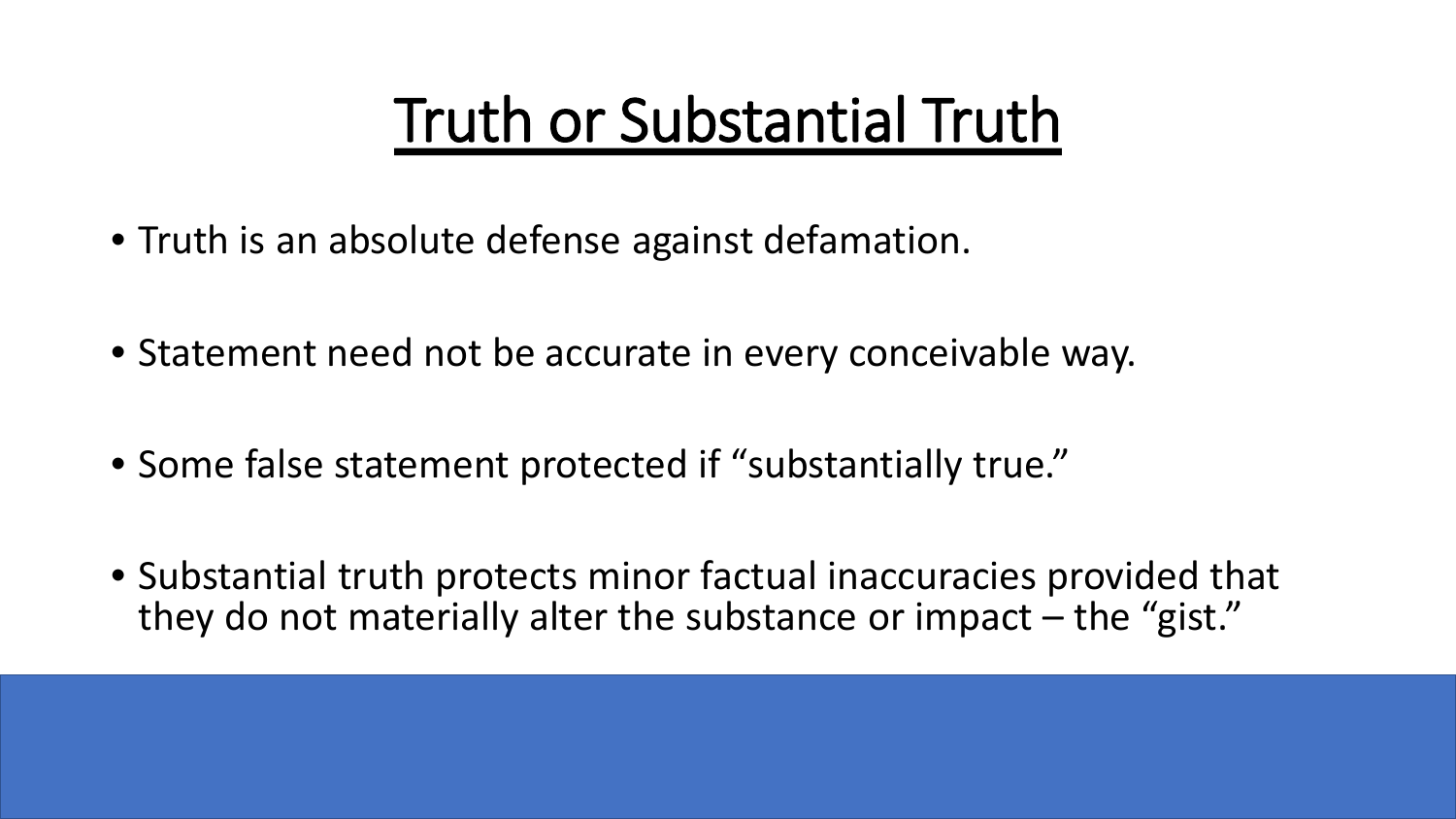# Truth or Substantial Truth

- Truth is an absolute defense against defamation.
- Statement need not be accurate in every conceivable way.
- Some false statement protected if "substantially true."
- Substantial truth protects minor factual inaccuracies provided that they do not materially alter the substance or impact – the "gist."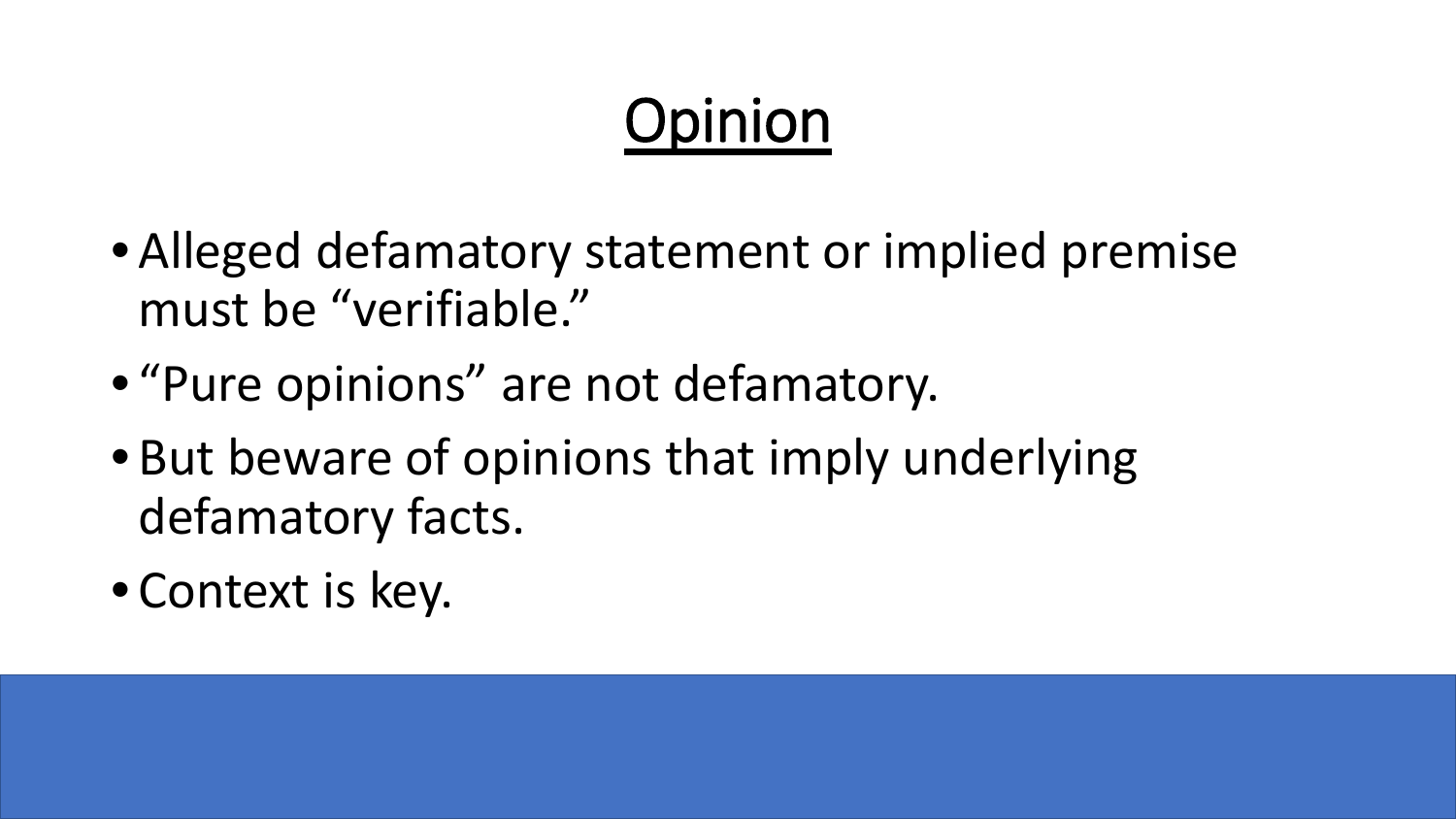# Opinion

- Alleged defamatory statement or implied premise must be "verifiable."
- "Pure opinions" are not defamatory.
- But beware of opinions that imply underlying defamatory facts.
- Context is key.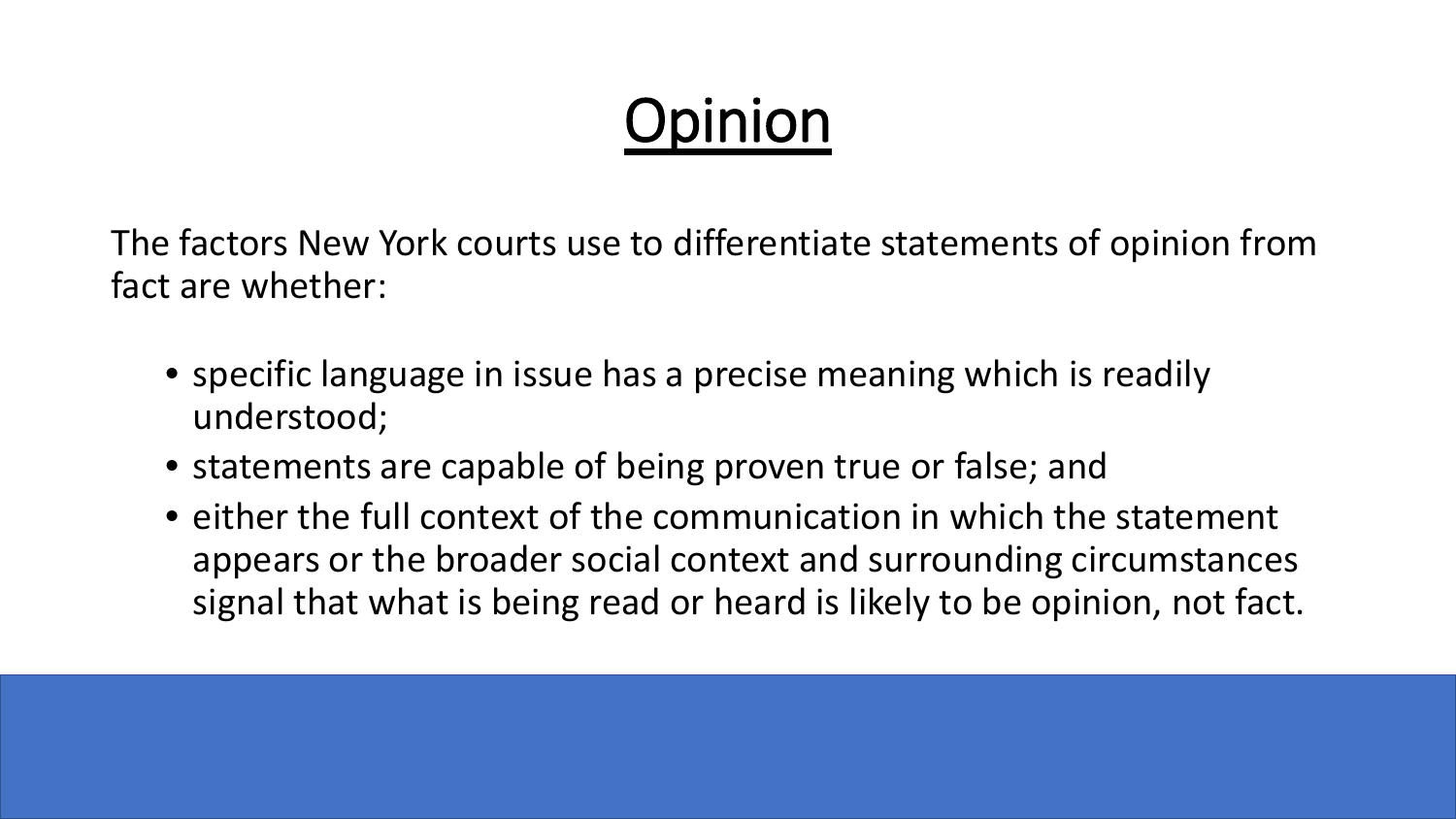# Opinion

The factors New York courts use to differentiate statements of opinion from fact are whether:

- specific language in issue has a precise meaning which is readily understood;
- statements are capable of being proven true or false; and
- either the full context of the communication in which the statement appears or the broader social context and surrounding circumstances signal that what is being read or heard is likely to be opinion, not fact.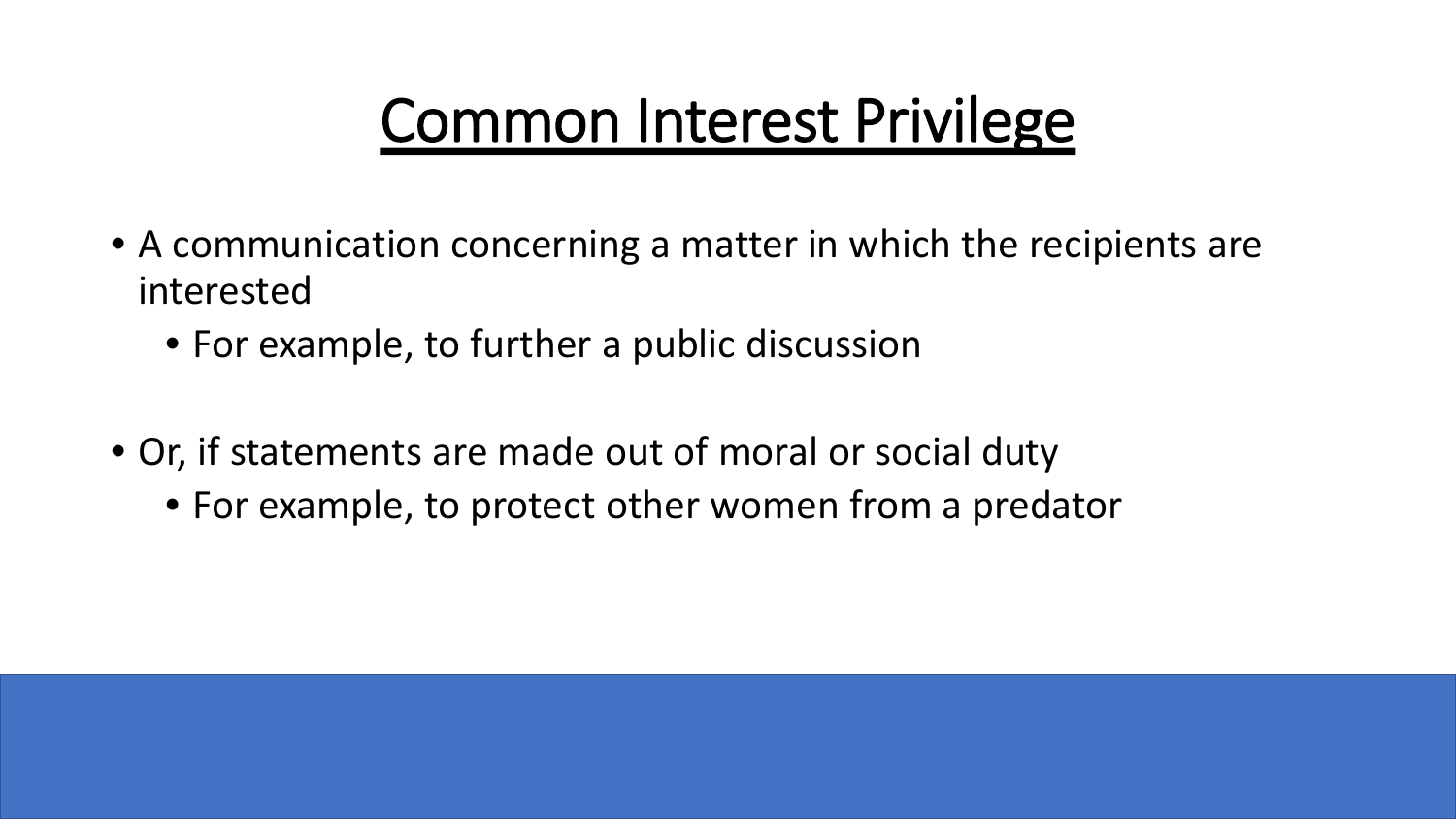# Common Interest Privilege

- A communication concerning a matter in which the recipients are interested
	- For example, to further a public discussion
- Or, if statements are made out of moral or social duty
	- For example, to protect other women from a predator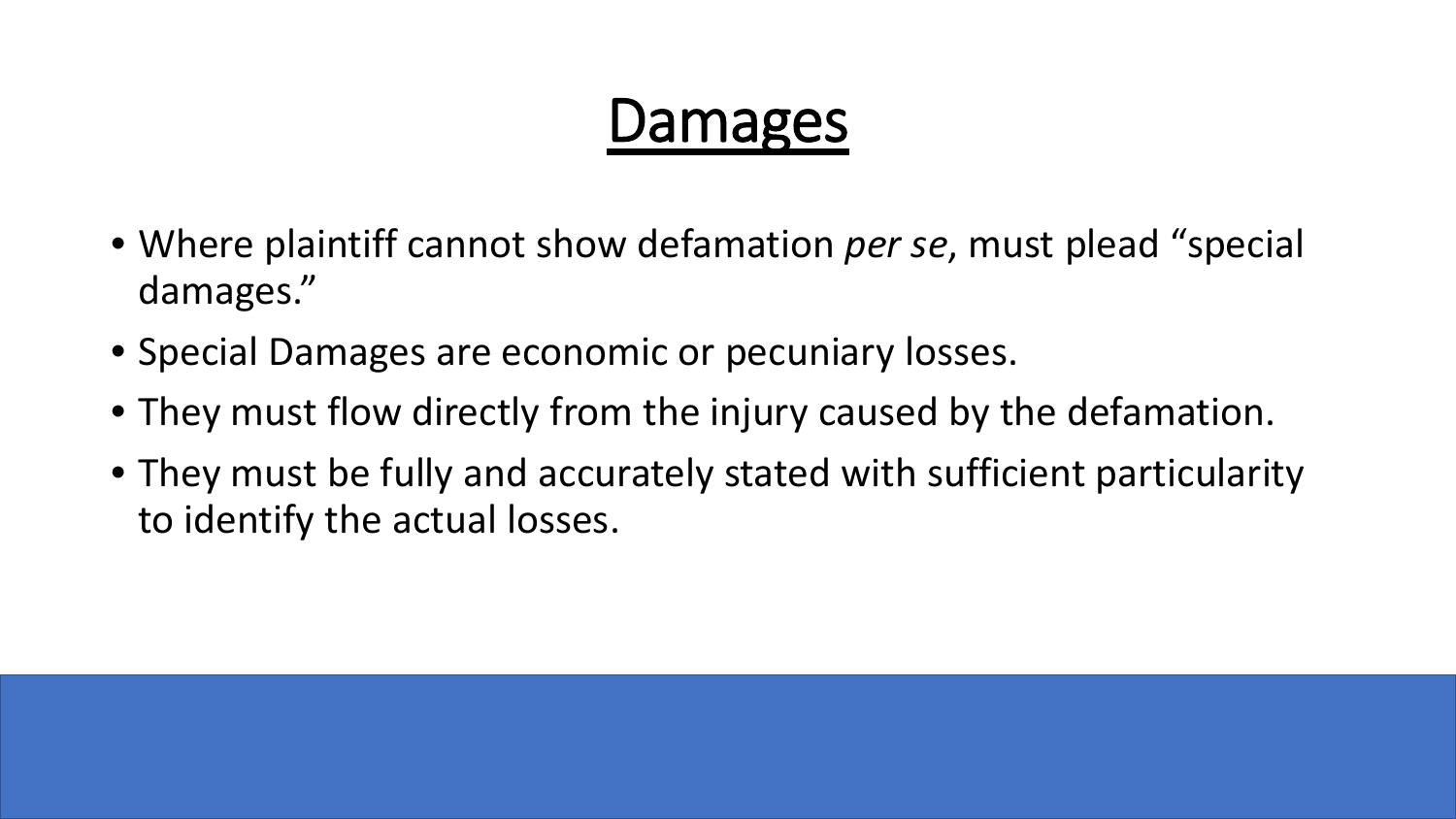# Damages

- Where plaintiff cannot show defamation *per se*, must plead "special damages."
- Special Damages are economic or pecuniary losses.
- They must flow directly from the injury caused by the defamation.
- They must be fully and accurately stated with sufficient particularity to identify the actual losses.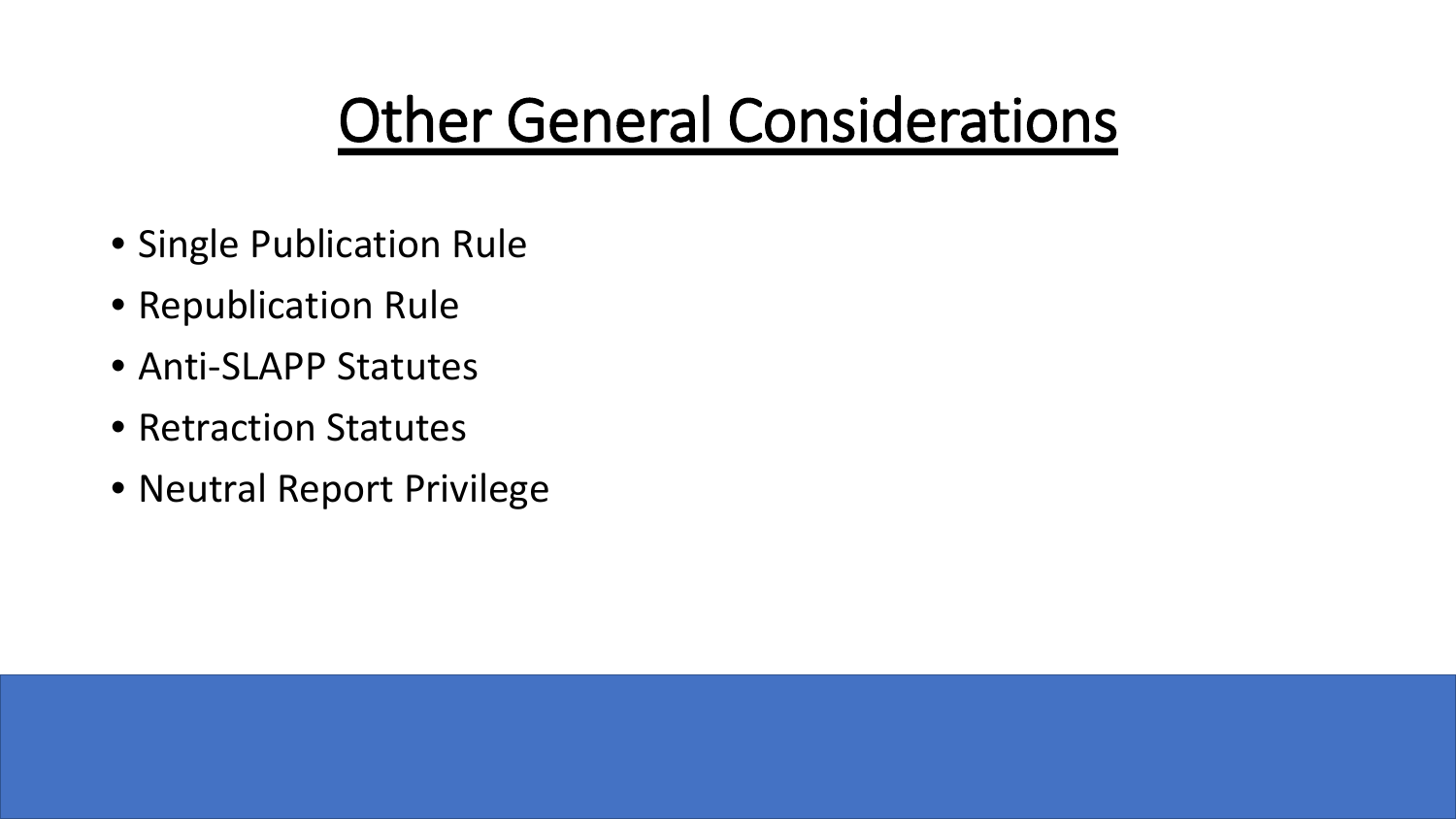# Other General Considerations

- Single Publication Rule
- Republication Rule
- Anti-SLAPP Statutes
- Retraction Statutes
- Neutral Report Privilege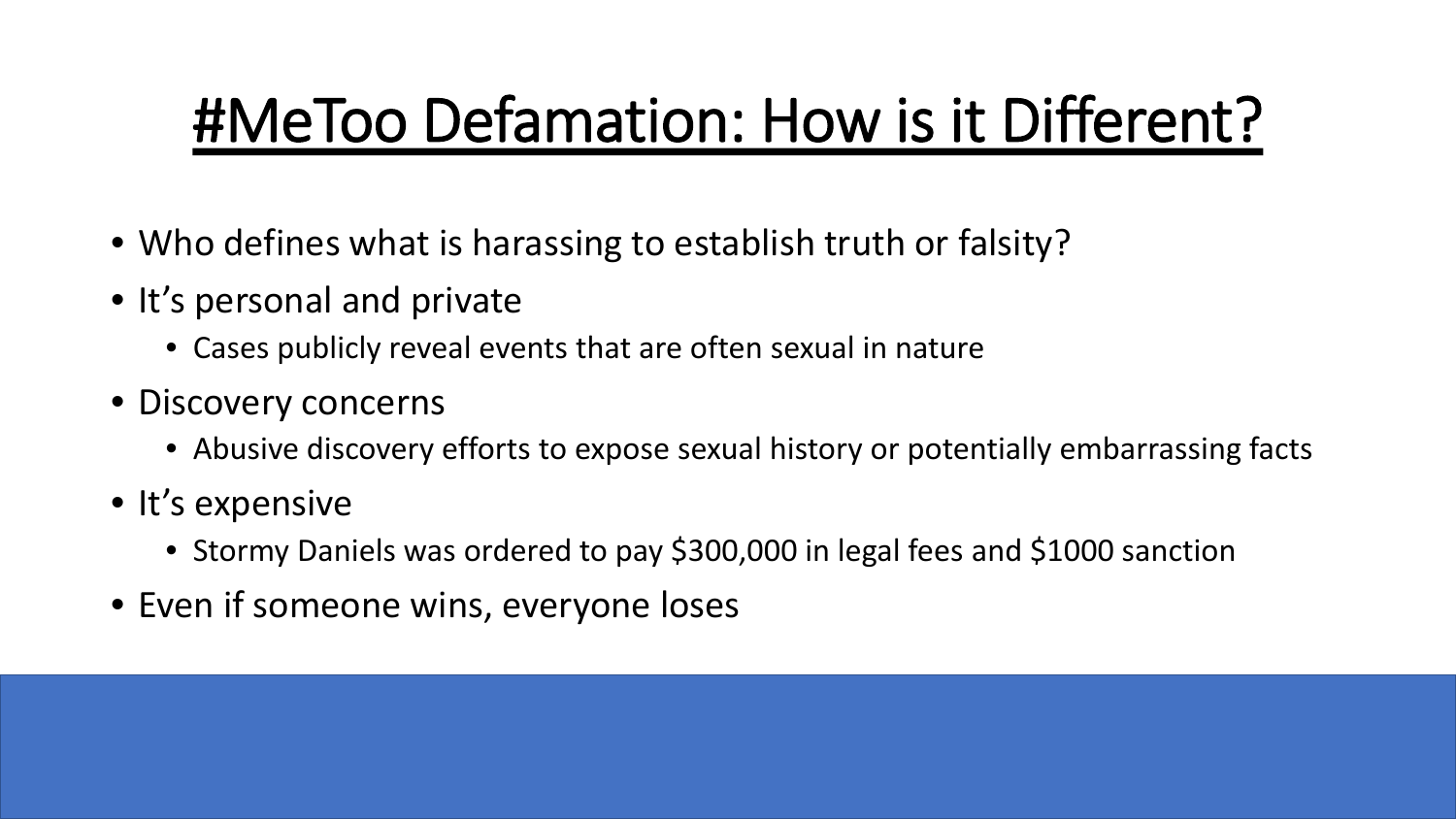# #MeToo Defamation: How is it Different?

- Who defines what is harassing to establish truth or falsity?
- It's personal and private
	- Cases publicly reveal events that are often sexual in nature
- Discovery concerns
	- Abusive discovery efforts to expose sexual history or potentially embarrassing facts
- It's expensive
	- Stormy Daniels was ordered to pay \$300,000 in legal fees and \$1000 sanction
- Even if someone wins, everyone loses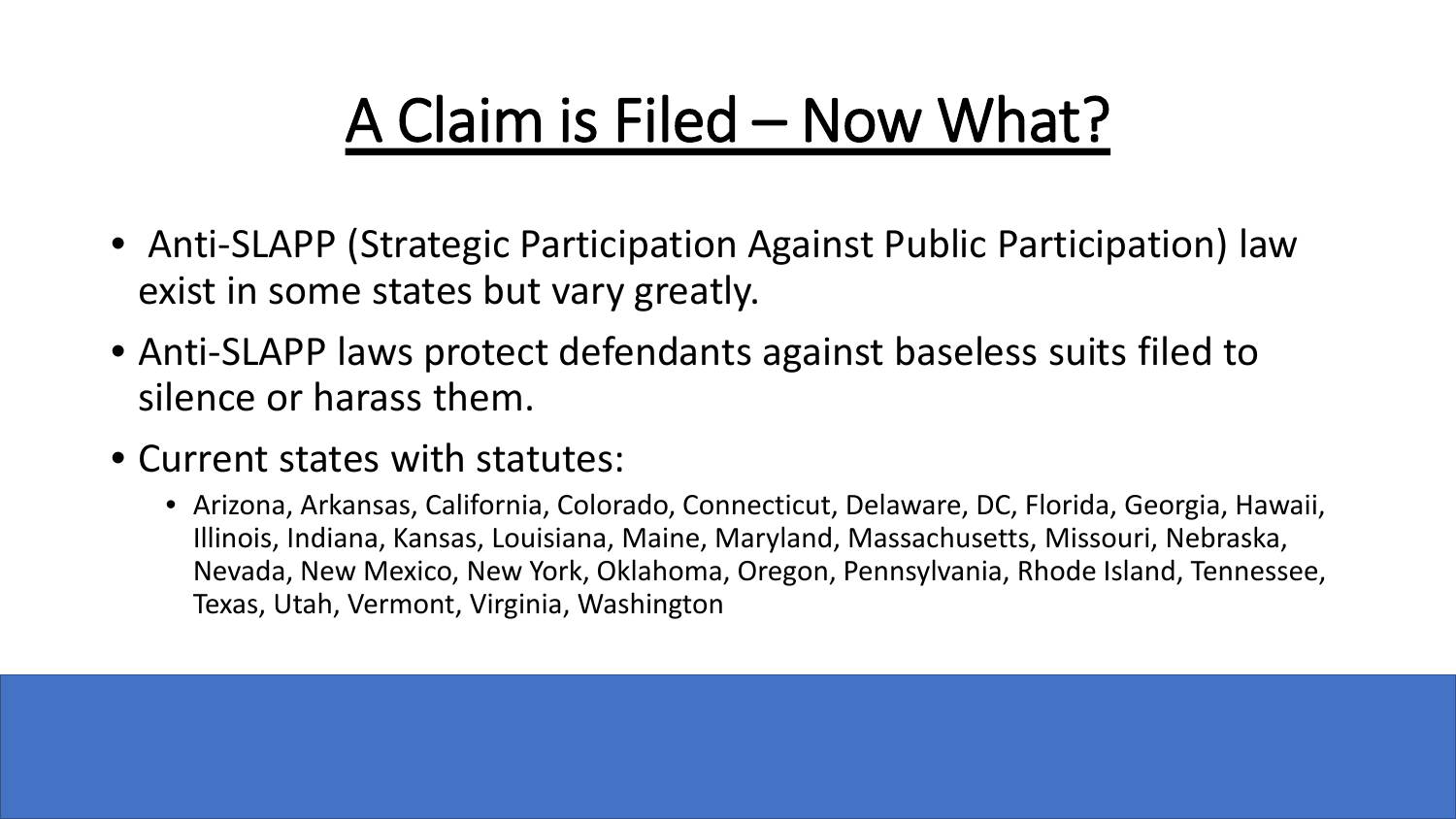# A Claim is Filed – Now What?

- Anti-SLAPP (Strategic Participation Against Public Participation) law exist in some states but vary greatly.
- Anti-SLAPP laws protect defendants against baseless suits filed to silence or harass them.
- Current states with statutes:
	- Arizona, Arkansas, California, Colorado, Connecticut, Delaware, DC, Florida, Georgia, Hawaii, Illinois, Indiana, Kansas, Louisiana, Maine, Maryland, Massachusetts, Missouri, Nebraska, Nevada, New Mexico, New York, Oklahoma, Oregon, Pennsylvania, Rhode Island, Tennessee, Texas, Utah, Vermont, Virginia, Washington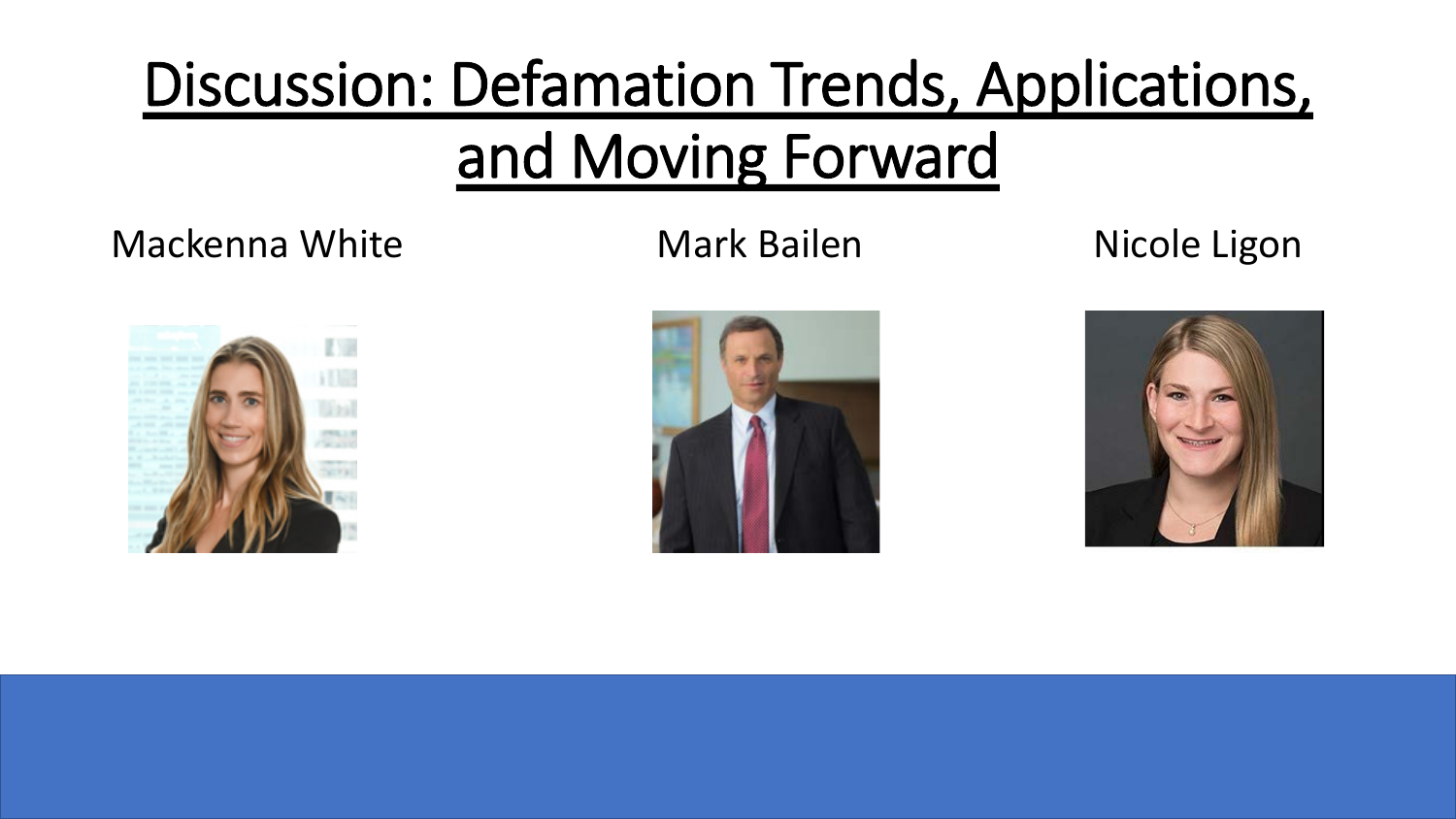# Discussion: Defamation Trends, Applications, and Moving Forward

### Mackenna White **Mark Bailen** Mark Dicole Ligon